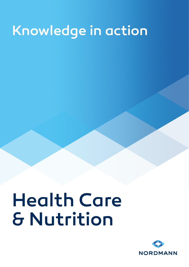## Knowledge in action

# Health Care & Nutrition

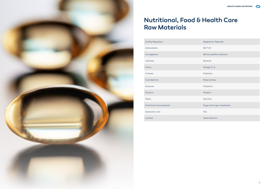

| Magnesium Stearate          |
|-----------------------------|
| <b>MCT Oil</b>              |
| Microcrystalline cellulose  |
| Minerals                    |
| Omega $3/6$                 |
| Prebiotics                  |
| Preservatives               |
| Probiotics                  |
| Proteins                    |
| <b>Starches</b>             |
| Sugar and sugar substitutes |
| <b>Talc</b>                 |
| Yeast extracts              |

| <b>Acidity Regulators</b> | Magnesium Stearate          |
|---------------------------|-----------------------------|
| Antioxidants              | <b>MCT Oil</b>              |
| Carrageenan               | Microcrystalline cellulose  |
| Cellulose                 | <b>Minerals</b>             |
| Colors                    | Omega 3 / 6                 |
| Cultures                  | Prebiotics                  |
| Cyclodextrins             | Preservatives               |
| Enzymes                   | Probiotics                  |
| Extracts                  | Proteins                    |
| <b>Fibers</b>             | <b>Starches</b>             |
| Functional nutraceuticals | Sugar and sugar substitutes |
| Hyaluronic acid           | Talc                        |
| Lactose                   | Yeast extracts              |
|                           |                             |



### Nutritional, Food & Health Care Raw Materials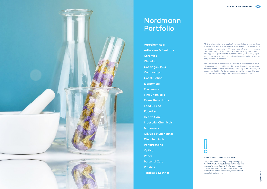

All the information and application knowledge presented here is based on practical experience and research. However, it is non-binding information. We therefore strongly recommend that you carry out your own tests before using our products. This applies in particular to our formulations, which only repre sent a starting point for individual developments and for which we can provide no guarantee.



### **Nordmann** Portfolio

The user alone is responsible for testing in the respective coun tries concerned and with regard to possible conflicting industrial property rights of third parties (e.g. patents). In this respect, we assume no liability for formulations or partial recipes. Our pro ducts are sold according to our General Conditions of Sale.



Agrochemicals Adhesives & Sealants **Ceramics** Cleaning Coatings & Inks **Composites Construction Elastomers Electronics** Fine Chemicals Flame Retardants Food & Feed Foundry Health Care Industrial Chemicals **Monomers** Oil, Gas & Lubricants Oleochemicals Polyurethane **Optical** Paper Personal Care Plastics Textiles & Leather

*Advertising for dangerous substances*

*Dangerous substance as per Regulation (EC) No 1272/2008. This substance is classified and assigned in accordance with the requirements of the aforementioned ordinance. For further information on this substance, please refer to the safety data sheet.*